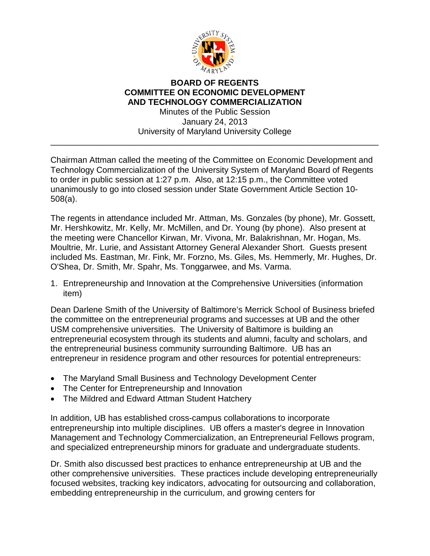

## **BOARD OF REGENTS COMMITTEE ON ECONOMIC DEVELOPMENT AND TECHNOLOGY COMMERCIALIZATION**

Minutes of the Public Session January 24, 2013 University of Maryland University College \_\_\_\_\_\_\_\_\_\_\_\_\_\_\_\_\_\_\_\_\_\_\_\_\_\_\_\_\_\_\_\_\_\_\_\_\_\_\_\_\_\_\_\_\_\_\_\_\_\_\_\_\_\_\_\_\_\_\_\_\_\_\_\_\_\_\_\_\_\_

Chairman Attman called the meeting of the Committee on Economic Development and Technology Commercialization of the University System of Maryland Board of Regents to order in public session at 1:27 p.m. Also, at 12:15 p.m., the Committee voted unanimously to go into closed session under State Government Article Section 10- 508(a).

The regents in attendance included Mr. Attman, Ms. Gonzales (by phone), Mr. Gossett, Mr. Hershkowitz, Mr. Kelly, Mr. McMillen, and Dr. Young (by phone). Also present at the meeting were Chancellor Kirwan, Mr. Vivona, Mr. Balakrishnan, Mr. Hogan, Ms. Moultrie, Mr. Lurie, and Assistant Attorney General Alexander Short. Guests present included Ms. Eastman, Mr. Fink, Mr. Forzno, Ms. Giles, Ms. Hemmerly, Mr. Hughes, Dr. O'Shea, Dr. Smith, Mr. Spahr, Ms. Tonggarwee, and Ms. Varma.

1. Entrepreneurship and Innovation at the Comprehensive Universities (information item)

Dean Darlene Smith of the University of Baltimore's Merrick School of Business briefed the committee on the entrepreneurial programs and successes at UB and the other USM comprehensive universities. The University of Baltimore is building an entrepreneurial ecosystem through its students and alumni, faculty and scholars, and the entrepreneurial business community surrounding Baltimore. UB has an entrepreneur in residence program and other resources for potential entrepreneurs:

- The Maryland Small Business and Technology Development Center
- The Center for Entrepreneurship and Innovation
- The Mildred and Edward Attman Student Hatchery

In addition, UB has established cross-campus collaborations to incorporate entrepreneurship into multiple disciplines. UB offers a master's degree in Innovation Management and Technology Commercialization, an Entrepreneurial Fellows program, and specialized entrepreneurship minors for graduate and undergraduate students.

Dr. Smith also discussed best practices to enhance entrepreneurship at UB and the other comprehensive universities. These practices include developing entrepreneurially focused websites, tracking key indicators, advocating for outsourcing and collaboration, embedding entrepreneurship in the curriculum, and growing centers for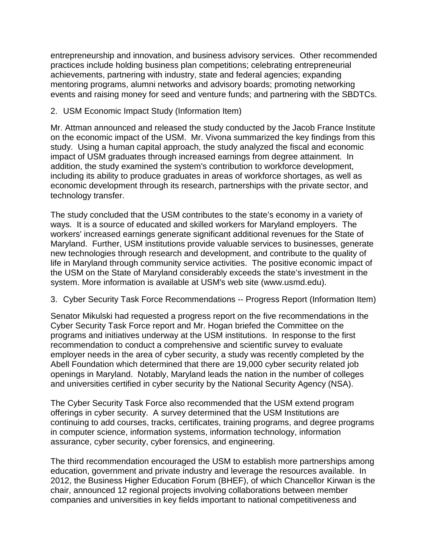entrepreneurship and innovation, and business advisory services. Other recommended practices include holding business plan competitions; celebrating entrepreneurial achievements, partnering with industry, state and federal agencies; expanding mentoring programs, alumni networks and advisory boards; promoting networking events and raising money for seed and venture funds; and partnering with the SBDTCs.

## 2. USM Economic Impact Study (Information Item)

Mr. Attman announced and released the study conducted by the Jacob France Institute on the economic impact of the USM. Mr. Vivona summarized the key findings from this study. Using a human capital approach, the study analyzed the fiscal and economic impact of USM graduates through increased earnings from degree attainment. In addition, the study examined the system's contribution to workforce development, including its ability to produce graduates in areas of workforce shortages, as well as economic development through its research, partnerships with the private sector, and technology transfer.

The study concluded that the USM contributes to the state's economy in a variety of ways. It is a source of educated and skilled workers for Maryland employers. The workers' increased earnings generate significant additional revenues for the State of Maryland. Further, USM institutions provide valuable services to businesses, generate new technologies through research and development, and contribute to the quality of life in Maryland through community service activities. The positive economic impact of the USM on the State of Maryland considerably exceeds the state's investment in the system. More information is available at USM's web site (www.usmd.edu).

## 3. Cyber Security Task Force Recommendations -- Progress Report (Information Item)

Senator Mikulski had requested a progress report on the five recommendations in the Cyber Security Task Force report and Mr. Hogan briefed the Committee on the programs and initiatives underway at the USM institutions. In response to the first recommendation to conduct a comprehensive and scientific survey to evaluate employer needs in the area of cyber security, a study was recently completed by the Abell Foundation which determined that there are 19,000 cyber security related job openings in Maryland. Notably, Maryland leads the nation in the number of colleges and universities certified in cyber security by the National Security Agency (NSA).

The Cyber Security Task Force also recommended that the USM extend program offerings in cyber security. A survey determined that the USM Institutions are continuing to add courses, tracks, certificates, training programs, and degree programs in computer science, information systems, information technology, information assurance, cyber security, cyber forensics, and engineering.

The third recommendation encouraged the USM to establish more partnerships among education, government and private industry and leverage the resources available. In 2012, the Business Higher Education Forum (BHEF), of which Chancellor Kirwan is the chair, announced 12 regional projects involving collaborations between member companies and universities in key fields important to national competitiveness and